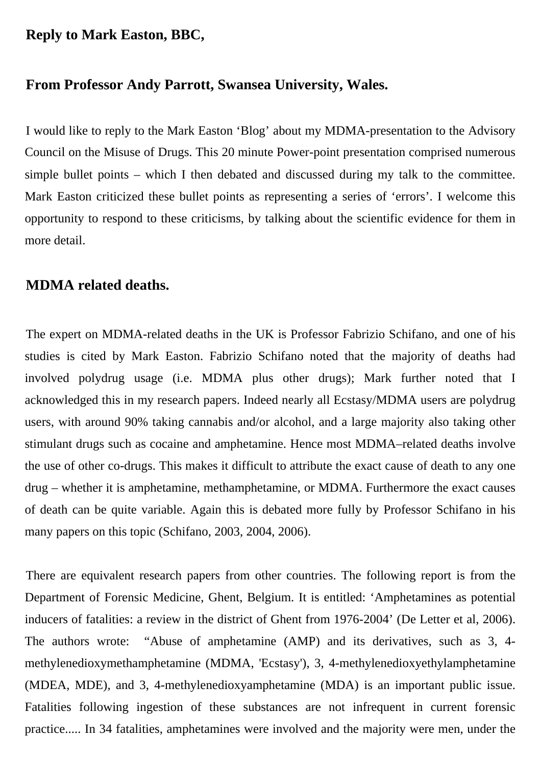### **Reply to Mark Easton, BBC,**

#### **From Professor Andy Parrott, Swansea University, Wales.**

I would like to reply to the Mark Easton 'Blog' about my MDMA-presentation to the Advisory Council on the Misuse of Drugs. This 20 minute Power-point presentation comprised numerous simple bullet points – which I then debated and discussed during my talk to the committee. Mark Easton criticized these bullet points as representing a series of 'errors'. I welcome this opportunity to respond to these criticisms, by talking about the scientific evidence for them in more detail.

## **MDMA related deaths.**

The expert on MDMA-related deaths in the UK is Professor Fabrizio Schifano, and one of his studies is cited by Mark Easton. Fabrizio Schifano noted that the majority of deaths had involved polydrug usage (i.e. MDMA plus other drugs); Mark further noted that I acknowledged this in my research papers. Indeed nearly all Ecstasy/MDMA users are polydrug users, with around 90% taking cannabis and/or alcohol, and a large majority also taking other stimulant drugs such as cocaine and amphetamine. Hence most MDMA–related deaths involve the use of other co-drugs. This makes it difficult to attribute the exact cause of death to any one drug – whether it is amphetamine, methamphetamine, or MDMA. Furthermore the exact causes of death can be quite variable. Again this is debated more fully by Professor Schifano in his many papers on this topic (Schifano, 2003, 2004, 2006).

There are equivalent research papers from other countries. The following report is from the Department of Forensic Medicine, Ghent, Belgium. It is entitled: 'Amphetamines as potential inducers of fatalities: a review in the district of Ghent from 1976-2004' (De Letter et al, 2006). The authors wrote: "Abuse of amphetamine (AMP) and its derivatives, such as 3, 4 methylenedioxymethamphetamine (MDMA, 'Ecstasy'), 3, 4-methylenedioxyethylamphetamine (MDEA, MDE), and 3, 4-methylenedioxyamphetamine (MDA) is an important public issue. Fatalities following ingestion of these substances are not infrequent in current forensic practice..... In 34 fatalities, amphetamines were involved and the majority were men, under the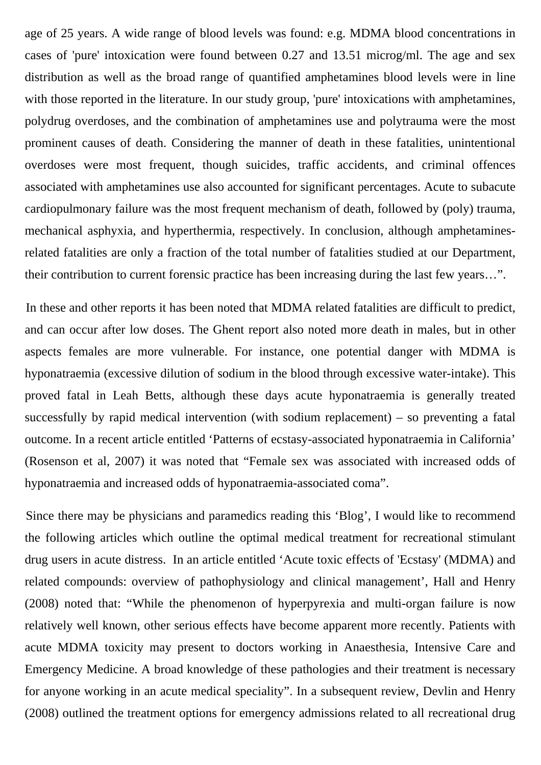age of 25 years. A wide range of blood levels was found: e.g. MDMA blood concentrations in cases of 'pure' intoxication were found between 0.27 and 13.51 microg/ml. The age and sex distribution as well as the broad range of quantified amphetamines blood levels were in line with those reported in the literature. In our study group, 'pure' intoxications with amphetamines, polydrug overdoses, and the combination of amphetamines use and polytrauma were the most prominent causes of death. Considering the manner of death in these fatalities, unintentional overdoses were most frequent, though suicides, traffic accidents, and criminal offences associated with amphetamines use also accounted for significant percentages. Acute to subacute cardiopulmonary failure was the most frequent mechanism of death, followed by (poly) trauma, mechanical asphyxia, and hyperthermia, respectively. In conclusion, although amphetaminesrelated fatalities are only a fraction of the total number of fatalities studied at our Department, their contribution to current forensic practice has been increasing during the last few years…".

In these and other reports it has been noted that MDMA related fatalities are difficult to predict, and can occur after low doses. The Ghent report also noted more death in males, but in other aspects females are more vulnerable. For instance, one potential danger with MDMA is hyponatraemia (excessive dilution of sodium in the blood through excessive water-intake). This proved fatal in Leah Betts, although these days acute hyponatraemia is generally treated successfully by rapid medical intervention (with sodium replacement) – so preventing a fatal outcome. In a recent article entitled 'Patterns of ecstasy-associated hyponatraemia in California' (Rosenson et al, 2007) it was noted that "Female sex was associated with increased odds of hyponatraemia and increased odds of hyponatraemia-associated coma".

Since there may be physicians and paramedics reading this 'Blog', I would like to recommend the following articles which outline the optimal medical treatment for recreational stimulant drug users in acute distress. In an article entitled 'Acute toxic effects of 'Ecstasy' (MDMA) and related compounds: overview of pathophysiology and clinical management', Hall and Henry (2008) noted that: "While the phenomenon of hyperpyrexia and multi-organ failure is now relatively well known, other serious effects have become apparent more recently. Patients with acute MDMA toxicity may present to doctors working in Anaesthesia, Intensive Care and Emergency Medicine. A broad knowledge of these pathologies and their treatment is necessary for anyone working in an acute medical speciality". In a subsequent review, Devlin and Henry (2008) outlined the treatment options for emergency admissions related to all recreational drug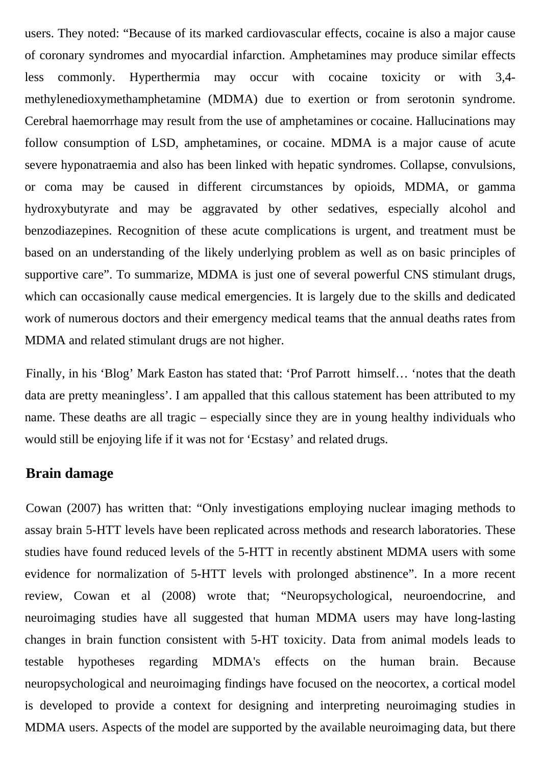users. They noted: "Because of its marked cardiovascular effects, cocaine is also a major cause of coronary syndromes and myocardial infarction. Amphetamines may produce similar effects less commonly. Hyperthermia may occur with cocaine toxicity or with 3,4 methylenedioxymethamphetamine (MDMA) due to exertion or from serotonin syndrome. Cerebral haemorrhage may result from the use of amphetamines or cocaine. Hallucinations may follow consumption of LSD, amphetamines, or cocaine. MDMA is a major cause of acute severe hyponatraemia and also has been linked with hepatic syndromes. Collapse, convulsions, or coma may be caused in different circumstances by opioids, MDMA, or gamma hydroxybutyrate and may be aggravated by other sedatives, especially alcohol and benzodiazepines. Recognition of these acute complications is urgent, and treatment must be based on an understanding of the likely underlying problem as well as on basic principles of supportive care". To summarize, MDMA is just one of several powerful CNS stimulant drugs, which can occasionally cause medical emergencies. It is largely due to the skills and dedicated work of numerous doctors and their emergency medical teams that the annual deaths rates from MDMA and related stimulant drugs are not higher.

Finally, in his 'Blog' Mark Easton has stated that: 'Prof Parrott himself… 'notes that the death data are pretty meaningless'. I am appalled that this callous statement has been attributed to my name. These deaths are all tragic – especially since they are in young healthy individuals who would still be enjoying life if it was not for 'Ecstasy' and related drugs.

## **Brain damage**

Cowan (2007) has written that: "Only investigations employing nuclear imaging methods to assay brain 5-HTT levels have been replicated across methods and research laboratories. These studies have found reduced levels of the 5-HTT in recently abstinent MDMA users with some evidence for normalization of 5-HTT levels with prolonged abstinence". In a more recent review, Cowan et al (2008) wrote that; "Neuropsychological, neuroendocrine, and neuroimaging studies have all suggested that human MDMA users may have long-lasting changes in brain function consistent with 5-HT toxicity. Data from animal models leads to testable hypotheses regarding MDMA's effects on the human brain. Because neuropsychological and neuroimaging findings have focused on the neocortex, a cortical model is developed to provide a context for designing and interpreting neuroimaging studies in MDMA users. Aspects of the model are supported by the available neuroimaging data, but there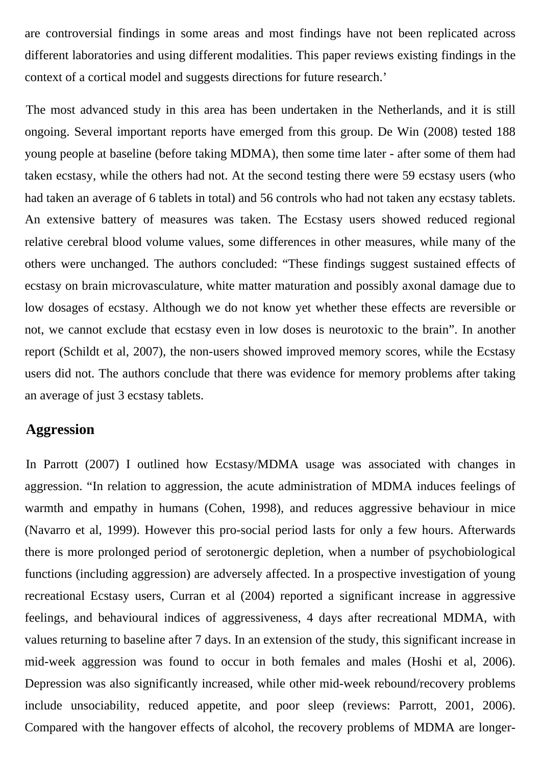are controversial findings in some areas and most findings have not been replicated across different laboratories and using different modalities. This paper reviews existing findings in the context of a cortical model and suggests directions for future research.'

The most advanced study in this area has been undertaken in the Netherlands, and it is still ongoing. Several important reports have emerged from this group. De Win (2008) tested 188 young people at baseline (before taking MDMA), then some time later - after some of them had taken ecstasy, while the others had not. At the second testing there were 59 ecstasy users (who had taken an average of 6 tablets in total) and 56 controls who had not taken any ecstasy tablets. An extensive battery of measures was taken. The Ecstasy users showed reduced regional relative cerebral blood volume values, some differences in other measures, while many of the others were unchanged. The authors concluded: "These findings suggest sustained effects of ecstasy on brain microvasculature, white matter maturation and possibly axonal damage due to low dosages of ecstasy. Although we do not know yet whether these effects are reversible or not, we cannot exclude that ecstasy even in low doses is neurotoxic to the brain". In another report (Schildt et al, 2007), the non-users showed improved memory scores, while the Ecstasy users did not. The authors conclude that there was evidence for memory problems after taking an average of just 3 ecstasy tablets.

# **Aggression**

In Parrott (2007) I outlined how Ecstasy/MDMA usage was associated with changes in aggression. "In relation to aggression, the acute administration of MDMA induces feelings of warmth and empathy in humans (Cohen, 1998), and reduces aggressive behaviour in mice (Navarro et al, 1999). However this pro-social period lasts for only a few hours. Afterwards there is more prolonged period of serotonergic depletion, when a number of psychobiological functions (including aggression) are adversely affected. In a prospective investigation of young recreational Ecstasy users, Curran et al (2004) reported a significant increase in aggressive feelings, and behavioural indices of aggressiveness, 4 days after recreational MDMA, with values returning to baseline after 7 days. In an extension of the study, this significant increase in mid-week aggression was found to occur in both females and males (Hoshi et al, 2006). Depression was also significantly increased, while other mid-week rebound/recovery problems include unsociability, reduced appetite, and poor sleep (reviews: Parrott, 2001, 2006). Compared with the hangover effects of alcohol, the recovery problems of MDMA are longer-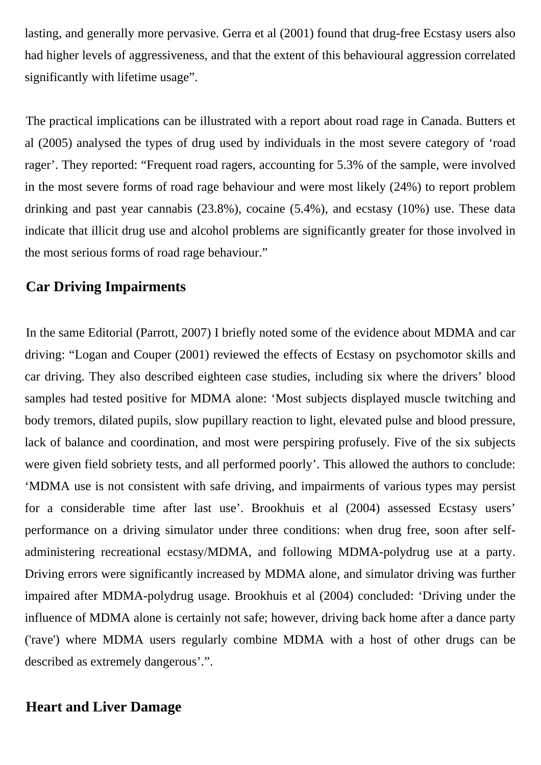lasting, and generally more pervasive. Gerra et al (2001) found that drug-free Ecstasy users also had higher levels of aggressiveness, and that the extent of this behavioural aggression correlated significantly with lifetime usage".

The practical implications can be illustrated with a report about road rage in Canada. Butters et al (2005) analysed the types of drug used by individuals in the most severe category of 'road rager'. They reported: "Frequent road ragers, accounting for 5.3% of the sample, were involved in the most severe forms of road rage behaviour and were most likely (24%) to report problem drinking and past year cannabis (23.8%), cocaine (5.4%), and ecstasy (10%) use. These data indicate that illicit drug use and alcohol problems are significantly greater for those involved in the most serious forms of road rage behaviour."

# **Car Driving Impairments**

In the same Editorial (Parrott, 2007) I briefly noted some of the evidence about MDMA and car driving: "Logan and Couper (2001) reviewed the effects of Ecstasy on psychomotor skills and car driving. They also described eighteen case studies, including six where the drivers' blood samples had tested positive for MDMA alone: 'Most subjects displayed muscle twitching and body tremors, dilated pupils, slow pupillary reaction to light, elevated pulse and blood pressure, lack of balance and coordination, and most were perspiring profusely. Five of the six subjects were given field sobriety tests, and all performed poorly'. This allowed the authors to conclude: 'MDMA use is not consistent with safe driving, and impairments of various types may persist for a considerable time after last use'. Brookhuis et al (2004) assessed Ecstasy users' performance on a driving simulator under three conditions: when drug free, soon after selfadministering recreational ecstasy/MDMA, and following MDMA-polydrug use at a party. Driving errors were significantly increased by MDMA alone, and simulator driving was further impaired after MDMA-polydrug usage. Brookhuis et al (2004) concluded: 'Driving under the influence of MDMA alone is certainly not safe; however, driving back home after a dance party ('rave') where MDMA users regularly combine MDMA with a host of other drugs can be described as extremely dangerous'.".

# **Heart and Liver Damage**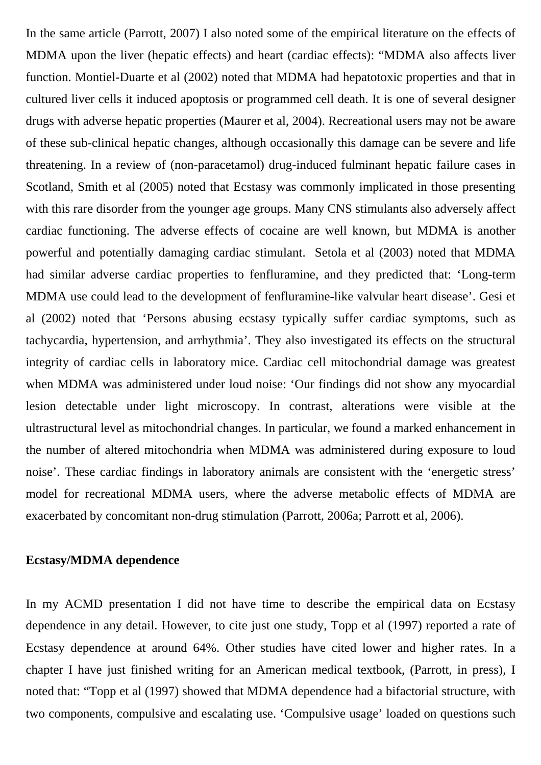In the same article (Parrott, 2007) I also noted some of the empirical literature on the effects of MDMA upon the liver (hepatic effects) and heart (cardiac effects): "MDMA also affects liver function. Montiel-Duarte et al (2002) noted that MDMA had hepatotoxic properties and that in cultured liver cells it induced apoptosis or programmed cell death. It is one of several designer drugs with adverse hepatic properties (Maurer et al, 2004). Recreational users may not be aware of these sub-clinical hepatic changes, although occasionally this damage can be severe and life threatening. In a review of (non-paracetamol) drug-induced fulminant hepatic failure cases in Scotland, Smith et al (2005) noted that Ecstasy was commonly implicated in those presenting with this rare disorder from the younger age groups. Many CNS stimulants also adversely affect cardiac functioning. The adverse effects of cocaine are well known, but MDMA is another powerful and potentially damaging cardiac stimulant. Setola et al (2003) noted that MDMA had similar adverse cardiac properties to fenfluramine, and they predicted that: 'Long-term MDMA use could lead to the development of fenfluramine-like valvular heart disease'. Gesi et al (2002) noted that 'Persons abusing ecstasy typically suffer cardiac symptoms, such as tachycardia, hypertension, and arrhythmia'. They also investigated its effects on the structural integrity of cardiac cells in laboratory mice. Cardiac cell mitochondrial damage was greatest when MDMA was administered under loud noise: 'Our findings did not show any myocardial lesion detectable under light microscopy. In contrast, alterations were visible at the ultrastructural level as mitochondrial changes. In particular, we found a marked enhancement in the number of altered mitochondria when MDMA was administered during exposure to loud noise'. These cardiac findings in laboratory animals are consistent with the 'energetic stress' model for recreational MDMA users, where the adverse metabolic effects of MDMA are exacerbated by concomitant non-drug stimulation (Parrott, 2006a; Parrott et al, 2006).

#### **Ecstasy/MDMA dependence**

In my ACMD presentation I did not have time to describe the empirical data on Ecstasy dependence in any detail. However, to cite just one study, Topp et al (1997) reported a rate of Ecstasy dependence at around 64%. Other studies have cited lower and higher rates. In a chapter I have just finished writing for an American medical textbook, (Parrott, in press), I noted that: "Topp et al (1997) showed that MDMA dependence had a bifactorial structure, with two components, compulsive and escalating use. 'Compulsive usage' loaded on questions such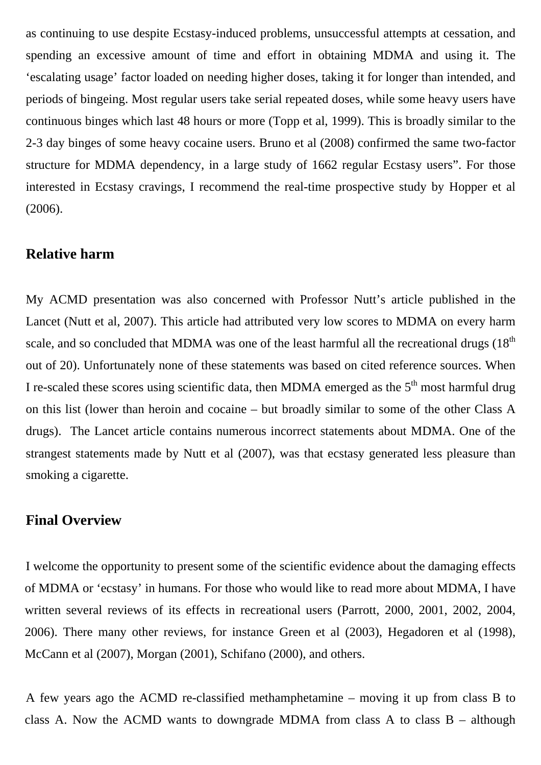as continuing to use despite Ecstasy-induced problems, unsuccessful attempts at cessation, and spending an excessive amount of time and effort in obtaining MDMA and using it. The 'escalating usage' factor loaded on needing higher doses, taking it for longer than intended, and periods of bingeing. Most regular users take serial repeated doses, while some heavy users have continuous binges which last 48 hours or more (Topp et al, 1999). This is broadly similar to the 2-3 day binges of some heavy cocaine users. Bruno et al (2008) confirmed the same two-factor structure for MDMA dependency, in a large study of 1662 regular Ecstasy users". For those interested in Ecstasy cravings, I recommend the real-time prospective study by Hopper et al (2006).

### **Relative harm**

My ACMD presentation was also concerned with Professor Nutt's article published in the Lancet (Nutt et al, 2007). This article had attributed very low scores to MDMA on every harm scale, and so concluded that MDMA was one of the least harmful all the recreational drugs  $(18<sup>th</sup>$ out of 20). Unfortunately none of these statements was based on cited reference sources. When I re-scaled these scores using scientific data, then MDMA emerged as the  $5<sup>th</sup>$  most harmful drug on this list (lower than heroin and cocaine – but broadly similar to some of the other Class A drugs). The Lancet article contains numerous incorrect statements about MDMA. One of the strangest statements made by Nutt et al (2007), was that ecstasy generated less pleasure than smoking a cigarette.

## **Final Overview**

I welcome the opportunity to present some of the scientific evidence about the damaging effects of MDMA or 'ecstasy' in humans. For those who would like to read more about MDMA, I have written several reviews of its effects in recreational users (Parrott, 2000, 2001, 2002, 2004, 2006). There many other reviews, for instance Green et al (2003), Hegadoren et al (1998), McCann et al (2007), Morgan (2001), Schifano (2000), and others.

A few years ago the ACMD re-classified methamphetamine – moving it up from class B to class A. Now the ACMD wants to downgrade MDMA from class A to class  $B - although$